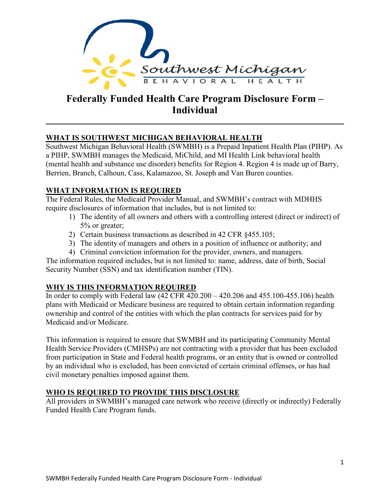

# **Federally Funded Health Care Program Disclosure Form – Individual**

### **WHAT IS SOUTHWEST MICHIGAN BEHAVIORAL HEALTH**

Southwest Michigan Behavioral Health (SWMBH) is a Prepaid Inpatient Health Plan (PIHP). As a PIHP, SWMBH manages the Medicaid, MiChild, and MI Health Link behavioral health (mental health and substance use disorder) benefits for Region 4. Region 4 is made up of Barry, Berrien, Branch, Calhoun, Cass, Kalamazoo, St. Joseph and Van Buren counties.

### **WHAT INFORMATION IS REQUIRED**

The Federal Rules, the Medicaid Provider Manual, and SWMBH's contract with MDHHS require disclosures of information that includes, but is not limited to:

- 1) The identity of all owners and others with a controlling interest (direct or indirect) of 5% or greater;
- 2) Certain business transactions as described in 42 CFR §455.105;
- 3) The identity of managers and others in a position of influence or authority; and
- 4) Criminal conviction information for the provider, owners, and managers.

The information required includes, but is not limited to: name, address, date of birth, Social Security Number (SSN) and tax identification number (TIN).

## **WHY IS THIS INFORMATION REQUIRED**

In order to comply with Federal law (42 CFR 420.200 – 420.206 and 455.100-455.106) health plans with Medicaid or Medicare business are required to obtain certain information regarding ownership and control of the entities with which the plan contracts for services paid for by Medicaid and/or Medicare.

This information is required to ensure that SWMBH and its participating Community Mental Health Service Providers (CMHSPs) are not contracting with a provider that has been excluded from participation in State and Federal health programs, or an entity that is owned or controlled by an individual who is excluded, has been convicted of certain criminal offenses, or has had civil monetary penalties imposed against them.

## **WHO IS REQUIRED TO PROVIDE THIS DISCLOSURE**

All providers in SWMBH's managed care network who receive (directly or indirectly) Federally Funded Health Care Program funds.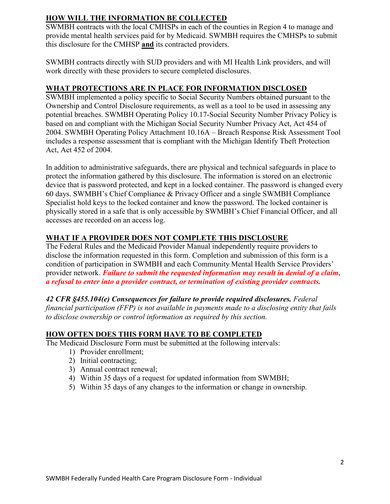## **HOW WILL THE INFORMATION BE COLLECTED**

SWMBH contracts with the local CMHSPs in each of the counties in Region 4 to manage and provide mental health services paid for by Medicaid. SWMBH requires the CMHSPs to submit this disclosure for the CMHSP **and** its contracted providers.

SWMBH contracts directly with SUD providers and with MI Health Link providers, and will work directly with these providers to secure completed disclosures.

### **WHAT PROTECTIONS ARE IN PLACE FOR INFORMATION DISCLOSED**

SWMBH implemented a policy specific to Social Security Numbers obtained pursuant to the Ownership and Control Disclosure requirements, as well as a tool to be used in assessing any potential breaches. SWMBH Operating Policy 10.17-Social Security Number Privacy Policy is based on and compliant with the Michigan Social Security Number Privacy Act, Act 454 of 2004. SWMBH Operating Policy Attachment 10.16A – Breach Response Risk Assessment Tool includes a response assessment that is compliant with the Michigan Identify Theft Protection Act, Act 452 of 2004.

In addition to administrative safeguards, there are physical and technical safeguards in place to protect the information gathered by this disclosure. The information is stored on an electronic device that is password protected, and kept in a locked container. The password is changed every 60 days. SWMBH's Chief Compliance & Privacy Officer and a single SWMBH Compliance Specialist hold keys to the locked container and know the password. The locked container is physically stored in a safe that is only accessible by SWMBH's Chief Financial Officer, and all accesses are recorded on an access log.

## **WHAT IF A PROVIDER DOES NOT COMPLETE THIS DISCLOSURE**

The Federal Rules and the Medicaid Provider Manual independently require providers to disclose the information requested in this form. Completion and submission of this form is a condition of participation in SWMBH and each Community Mental Health Service Providers' provider network. *Failure to submit the requested information may result in denial of a claim, a refusal to enter into a provider contract, or termination of existing provider contracts.*

## *42 CFR §455.104(e) Consequences for failure to provide required disclosures. Federal*

*financial participation (FFP) is not available in payments made to a disclosing entity that fails to disclose ownership or control information as required by this section.* 

## **HOW OFTEN DOES THIS FORM HAVE TO BE COMPLETED**

The Medicaid Disclosure Form must be submitted at the following intervals:

- 1) Provider enrollment;
- 2) Initial contracting;
- 3) Annual contract renewal;
- 4) Within 35 days of a request for updated information from SWMBH;
- 5) Within 35 days of any changes to the information or change in ownership.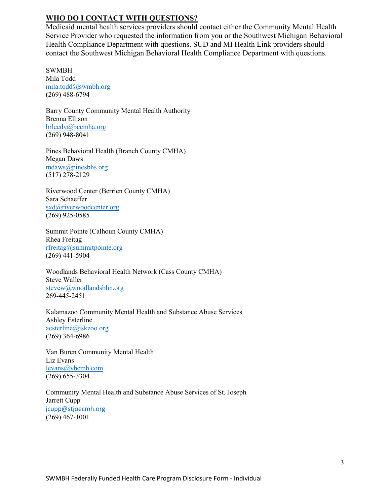### **WHO DO I CONTACT WITH QUESTIONS?**

Medicaid mental health services providers should contact either the Community Mental Health Service Provider who requested the information from you or the Southwest Michigan Behavioral Health Compliance Department with questions. SUD and MI Health Link providers should contact the Southwest Michigan Behavioral Health Compliance Department with questions.

SWMBH Mila Todd [mila.todd@swmbh.org](mailto:mila.todd@swmbh.org) (269) 488-6794

Barry County Community Mental Health Authority Brenna Ellison brleedy@bccmha.org (269) 948-8041

Pines Behavioral Health (Branch County CMHA) Megan Daws [mdaws@pinesbhs.org](mailto:scizio@pinesbhs.org)  (517) 278-2129

Riverwood Center (Berrien County CMHA) Sara Schaeffer [sxd@riverwoodcenter.org](mailto:sxd@riverwoodcenter.org)  (269) 925-0585

Summit Pointe (Calhoun County CMHA) Rhea Freitag rfreitag@summitpointe.org (269) 441-5904

Woodlands Behavioral Health Network (Cass County CMHA) Steve Waller [stevew@woodlandsbhn.org](mailto:marym@woodlandsbhn.org) 269-445-2451

Kalamazoo Community Mental Health and Substance Abuse Services Ashley Esterline aesterline@iskzoo.org (269) 364-6986

Van Buren Community Mental Health Liz Evans [levans@vbcmh.com](mailto:levans@vbcmh.com)  (269) 655-3304

Community Mental Health and Substance Abuse Services of St. Joseph Jarrett Cupp [jcupp@stjoecmh.org](mailto:jcupp@stjoecmh.org) (269) 467-1001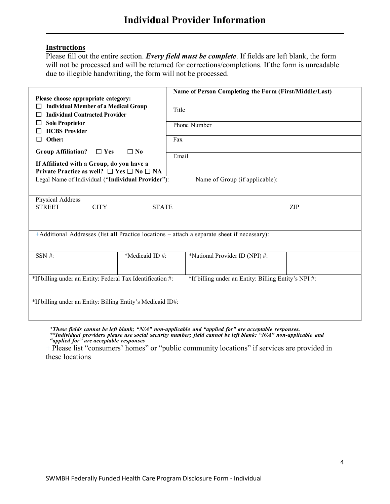### **Instructions**

Please fill out the entire section. *Every field must be complete*. If fields are left blank, the form will not be processed and will be returned for corrections/completions. If the form is unreadable due to illegible handwriting, the form will not be processed.

| Please choose appropriate category:                                                       |                | Name of Person Completing the Form (First/Middle/Last)                                      |
|-------------------------------------------------------------------------------------------|----------------|---------------------------------------------------------------------------------------------|
| <b>Individual Member of a Medical Group</b><br><b>Individual Contracted Provider</b><br>□ |                | Title                                                                                       |
| <b>Sole Proprietor</b><br>ΙI<br><b>HCBS Provider</b>                                      |                | Phone Number                                                                                |
| Other:<br>$\Box$                                                                          |                | Fax                                                                                         |
| <b>Group Affiliation?</b><br>$\Box$ Yes                                                   | $\square$ No   | Email                                                                                       |
| If Affiliated with a Group, do you have a                                                 |                |                                                                                             |
| Private Practice as well? $\Box$ Yes $\Box$ No $\Box$ NA                                  |                |                                                                                             |
| Legal Name of Individual ("Individual Provider"):                                         |                | Name of Group (if applicable):                                                              |
|                                                                                           |                |                                                                                             |
| Physical Address                                                                          |                |                                                                                             |
| <b>STREET</b><br><b>CITY</b>                                                              | <b>STATE</b>   | ZIP                                                                                         |
|                                                                                           |                |                                                                                             |
|                                                                                           |                | +Additional Addresses (list all Practice locations - attach a separate sheet if necessary): |
|                                                                                           |                |                                                                                             |
| SSN #:                                                                                    | *Medicaid ID#: | *National Provider ID (NPI) #:                                                              |
|                                                                                           |                |                                                                                             |
| *If billing under an Entity: Federal Tax Identification #:                                |                | *If billing under an Entity: Billing Entity's NPI #:                                        |
|                                                                                           |                |                                                                                             |
| *If billing under an Entity: Billing Entity's Medicaid ID#:                               |                |                                                                                             |
|                                                                                           |                |                                                                                             |
|                                                                                           |                |                                                                                             |

\*These fields cannot be left blank; "N/A" non-applicable and "applied for" are acceptable responses.<br>\*\*Individual providers please use social security number; field cannot be left blank: "N/A" non-applicable and *"applied for" are acceptable responses*

+ Please list "consumers' homes" or "public community locations" if services are provided in these locations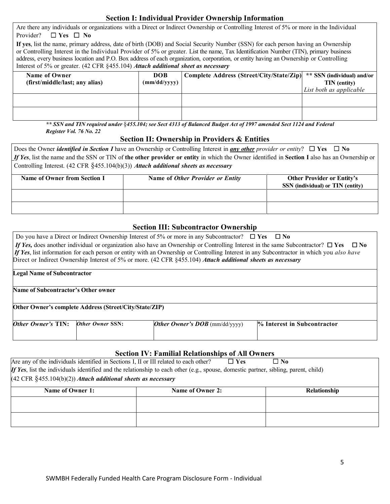## **Section I: Individual Provider Ownership Information**

| Are there any individuals or organizations with a Direct or Indirect Ownership or Controlling Interest of 5% or more in the Individual                                                                                                                                                                                                                                                                                                                                                                  |              |                                          |                            |  |  |
|---------------------------------------------------------------------------------------------------------------------------------------------------------------------------------------------------------------------------------------------------------------------------------------------------------------------------------------------------------------------------------------------------------------------------------------------------------------------------------------------------------|--------------|------------------------------------------|----------------------------|--|--|
| $\Box$ Yes $\Box$ No<br>Provider?                                                                                                                                                                                                                                                                                                                                                                                                                                                                       |              |                                          |                            |  |  |
| If yes, list the name, primary address, date of birth (DOB) and Social Security Number (SSN) for each person having an Ownership<br>or Controlling Interest in the Individual Provider of 5% or greater. List the name, Tax Identification Number (TIN), primary business<br>address, every business location and P.O. Box address of each organization, corporation, or entity having an Ownership or Controlling<br>Interest of 5% or greater. (42 CFR §455.104) Attach additional sheet as necessary |              |                                          |                            |  |  |
| Name of Owner                                                                                                                                                                                                                                                                                                                                                                                                                                                                                           | <b>DOB</b>   | Complete Address (Street/City/State/Zip) | ** SSN (individual) and/or |  |  |
| (first/middle/last; any alias)                                                                                                                                                                                                                                                                                                                                                                                                                                                                          | (mm/dd/yyyy) |                                          | TIN (entity)               |  |  |
|                                                                                                                                                                                                                                                                                                                                                                                                                                                                                                         |              |                                          | List both as applicable    |  |  |
|                                                                                                                                                                                                                                                                                                                                                                                                                                                                                                         |              |                                          |                            |  |  |
|                                                                                                                                                                                                                                                                                                                                                                                                                                                                                                         |              |                                          |                            |  |  |
|                                                                                                                                                                                                                                                                                                                                                                                                                                                                                                         |              |                                          |                            |  |  |
|                                                                                                                                                                                                                                                                                                                                                                                                                                                                                                         |              |                                          |                            |  |  |

*\*\* SSN and TIN required under* §*455.104; see Sect 4313 of Balanced Budget Act of 1997 amended Sect 1124 and Federal Register Vol. 76 No. 22*

### **Section II: Ownership in Providers & Entities**

| Does the Owner <i>identified in Section I</i> have an Ownership or Controlling Interest in <i>any other provider or entity</i> ? $\square$ Yes $\square$ No |  |  |  |  |  |
|-------------------------------------------------------------------------------------------------------------------------------------------------------------|--|--|--|--|--|
| If Yes, list the name and the SSN or TIN of the other provider or entity in which the Owner identified in Section I also has an Ownership or                |  |  |  |  |  |
| Controlling Interest. $(42 \text{ CFR } \frac{6}{5}455.104(b)(3))$ Attach additional sheets as necessary                                                    |  |  |  |  |  |
| Name of Owner from Section I<br>Name of Other Provider or Entity<br><b>Other Provider or Entity's</b><br>SSN (individual) or TIN (entity)                   |  |  |  |  |  |
|                                                                                                                                                             |  |  |  |  |  |

### **Section III: Subcontractor Ownership**

| Do you have a Direct or Indirect Ownership Interest of 5% or more in any Subcontractor? $\Box$ Yes $\Box$ No |                  |                                                                                                                                         |                                                                                                                                          |  |  |
|--------------------------------------------------------------------------------------------------------------|------------------|-----------------------------------------------------------------------------------------------------------------------------------------|------------------------------------------------------------------------------------------------------------------------------------------|--|--|
|                                                                                                              |                  | If Yes, does another individual or organization also have an Ownership or Controlling Interest in the same Subcontractor? $\square$ Yes | $\Box$ No                                                                                                                                |  |  |
|                                                                                                              |                  |                                                                                                                                         | If Yes, list information for each person or entity with an Ownership or Controlling Interest in any Subcontractor in which you also have |  |  |
|                                                                                                              |                  | Direct or Indirect Ownership Interest of 5% or more. (42 CFR §455.104) Attach additional sheets as necessary                            |                                                                                                                                          |  |  |
| <b>Legal Name of Subcontractor</b>                                                                           |                  |                                                                                                                                         |                                                                                                                                          |  |  |
| Name of Subcontractor's Other owner                                                                          |                  |                                                                                                                                         |                                                                                                                                          |  |  |
| Other Owner's complete Address (Street/City/State/ZIP)                                                       |                  |                                                                                                                                         |                                                                                                                                          |  |  |
| Other Owner's TIN:                                                                                           | Other Owner SSN: | Other Owner's $DOB$ (mm/dd/yyyy)                                                                                                        | <b>% Interest in Subcontractor</b>                                                                                                       |  |  |

### **Section IV: Familial Relationships of All Owners**

| Are any of the individuals identified in Sections I, II or III related to each other?                                               | $\Box$ Yes       | $\square$ No |  |                     |  |
|-------------------------------------------------------------------------------------------------------------------------------------|------------------|--------------|--|---------------------|--|
| If Yes, list the individuals identified and the relationship to each other (e.g., spouse, domestic partner, sibling, parent, child) |                  |              |  |                     |  |
| $(42 \text{ CFR } \text{\textless}\,455.104(b)(2))$ Attach additional sheets as necessary                                           |                  |              |  |                     |  |
| Name of Owner 1:                                                                                                                    | Name of Owner 2: |              |  | <b>Relationship</b> |  |
|                                                                                                                                     |                  |              |  |                     |  |
|                                                                                                                                     |                  |              |  |                     |  |
|                                                                                                                                     |                  |              |  |                     |  |
|                                                                                                                                     |                  |              |  |                     |  |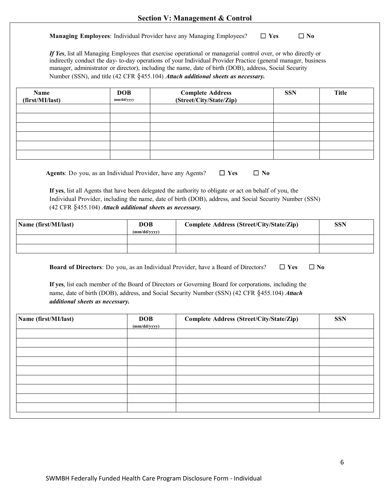**Managing Employees**: Individual Provider have any Managing Employees? ☐ **Yes** ☐ **No**

*If Yes*, list all Managing Employees that exercise operational or managerial control over, or who directly or indirectly conduct the day- to-day operations of your Individual Provider Practice (general manager, business manager, administrator or director), including the name, date of birth (DOB), address, Social Security Number (SSN), and title (42 CFR §455.104) *Attach additional sheets as necessary.*

| Name<br>(first/MI/last)         | <b>DOB</b><br>mm/dd/yyyy                                    | <b>Complete Address</b><br>(Street/City/State/Zip)                                                                                                                                                     | <b>SSN</b> | <b>Title</b> |
|---------------------------------|-------------------------------------------------------------|--------------------------------------------------------------------------------------------------------------------------------------------------------------------------------------------------------|------------|--------------|
|                                 |                                                             |                                                                                                                                                                                                        |            |              |
|                                 |                                                             |                                                                                                                                                                                                        |            |              |
|                                 |                                                             |                                                                                                                                                                                                        |            |              |
|                                 |                                                             |                                                                                                                                                                                                        |            |              |
|                                 |                                                             |                                                                                                                                                                                                        |            |              |
|                                 | Agents: Do you, as an Individual Provider, have any Agents? | $\Box$ Yes                                                                                                                                                                                             | $\Box$ No  |              |
|                                 |                                                             | If yes, list all Agents that have been delegated the authority to obligate or act on behalf of you, the                                                                                                |            |              |
|                                 |                                                             | Individual Provider, including the name, date of birth (DOB), address, and Social Security Number (SSN)                                                                                                |            |              |
|                                 | (42 CFR §455.104) Attach additional sheets as necessary.    |                                                                                                                                                                                                        |            |              |
| Name (first/MI/last)            | <b>DOB</b><br>(mm/dd/yyyy)                                  | Complete Address (Street/City/State/Zip)                                                                                                                                                               |            | <b>SSN</b>   |
|                                 |                                                             |                                                                                                                                                                                                        |            |              |
|                                 |                                                             |                                                                                                                                                                                                        |            |              |
|                                 |                                                             | Board of Directors: Do you, as an Individual Provider, have a Board of Directors?                                                                                                                      | $\Box$ Yes | $\Box$ No    |
| additional sheets as necessary. |                                                             | If yes, list each member of the Board of Directors or Governing Board for corporations, including the<br>name, date of birth (DOB), address, and Social Security Number (SSN) (42 CFR §455.104) Attach |            |              |
| Name (first/MI/last)            | <b>DOB</b><br>(mm/dd/yyyy)                                  | Complete Address (Street/City/State/Zip)                                                                                                                                                               |            | <b>SSN</b>   |
|                                 |                                                             |                                                                                                                                                                                                        |            |              |
|                                 |                                                             |                                                                                                                                                                                                        |            |              |
|                                 |                                                             |                                                                                                                                                                                                        |            |              |
|                                 |                                                             |                                                                                                                                                                                                        |            |              |
|                                 |                                                             |                                                                                                                                                                                                        |            |              |
|                                 |                                                             |                                                                                                                                                                                                        |            |              |
|                                 |                                                             |                                                                                                                                                                                                        |            |              |
|                                 |                                                             |                                                                                                                                                                                                        |            |              |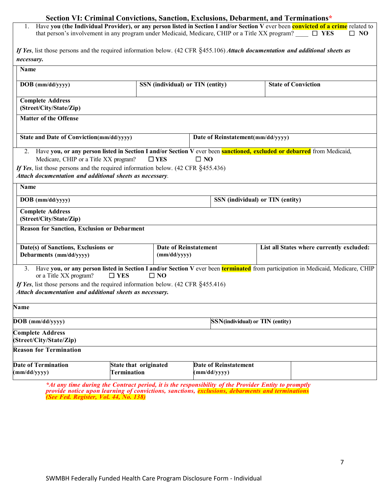|                                                                                                                                                                                                                                               | Section VI: Criminal Convictions, Sanction, Exclusions, Debarment, and Terminations*                   |                                  |                                   |                                           |              |
|-----------------------------------------------------------------------------------------------------------------------------------------------------------------------------------------------------------------------------------------------|--------------------------------------------------------------------------------------------------------|----------------------------------|-----------------------------------|-------------------------------------------|--------------|
| Have you (the Individual Provider), or any person listed in Section I and/or Section V ever been convicted of a crime related to<br>that person's involvement in any program under Medicaid, Medicare, CHIP or a Title XX program? $\Box$ YES |                                                                                                        |                                  |                                   |                                           | $\square$ NO |
| If Yes, list those persons and the required information below. (42 CFR §455.106) Attach documentation and additional sheets as                                                                                                                |                                                                                                        |                                  |                                   |                                           |              |
| necessary.                                                                                                                                                                                                                                    |                                                                                                        |                                  |                                   |                                           |              |
| Name                                                                                                                                                                                                                                          |                                                                                                        |                                  |                                   |                                           |              |
| DOB (mm/dd/yyyy)                                                                                                                                                                                                                              |                                                                                                        | SSN (individual) or TIN (entity) |                                   | <b>State of Conviction</b>                |              |
|                                                                                                                                                                                                                                               |                                                                                                        |                                  |                                   |                                           |              |
| <b>Complete Address</b>                                                                                                                                                                                                                       |                                                                                                        |                                  |                                   |                                           |              |
| (Street/City/State/Zip)                                                                                                                                                                                                                       |                                                                                                        |                                  |                                   |                                           |              |
| <b>Matter of the Offense</b>                                                                                                                                                                                                                  |                                                                                                        |                                  |                                   |                                           |              |
| <b>State and Date of Conviction(mm/dd/yyyy)</b>                                                                                                                                                                                               |                                                                                                        |                                  | Date of Reinstatement(mm/dd/yyyy) |                                           |              |
| Have you, or any person listed in Section I and/or Section V ever been <b>sanctioned, excluded or debarred</b> from Medicaid,<br>2.<br>Medicare, CHIP or a Title XX program?                                                                  | $\square$ YES                                                                                          | $\square$ NO                     |                                   |                                           |              |
| If Yes, list those persons and the required information below. $(42 \text{ CFR } \S 455.436)$<br>Attach documentation and additional sheets as necessary.                                                                                     |                                                                                                        |                                  |                                   |                                           |              |
| Name                                                                                                                                                                                                                                          |                                                                                                        |                                  |                                   |                                           |              |
| $DOB$ (mm/dd/yyyy)                                                                                                                                                                                                                            |                                                                                                        |                                  |                                   | SSN (individual) or TIN (entity)          |              |
| <b>Complete Address</b><br>(Street/City/State/Zip)                                                                                                                                                                                            |                                                                                                        |                                  |                                   |                                           |              |
| <b>Reason for Sanction, Exclusion or Debarment</b>                                                                                                                                                                                            |                                                                                                        |                                  |                                   |                                           |              |
|                                                                                                                                                                                                                                               |                                                                                                        |                                  |                                   |                                           |              |
| Date(s) of Sanctions, Exclusions or                                                                                                                                                                                                           |                                                                                                        | <b>Date of Reinstatement</b>     |                                   | List all States where currently excluded: |              |
| Debarments (mm/dd/yyyy)                                                                                                                                                                                                                       |                                                                                                        | (mm/dd/yyyy)                     |                                   |                                           |              |
| Have you, or any person listed in Section I and/or Section V ever been terminated from participation in Medicaid, Medicare, CHIP<br>3.<br>or a Title XX program?                                                                              | $\square$ YES                                                                                          | $\square$ NO                     |                                   |                                           |              |
| If Yes, list those persons and the required information below. $(42 \text{ CFR } \S 455.416)$                                                                                                                                                 |                                                                                                        |                                  |                                   |                                           |              |
| Attach documentation and additional sheets as necessary.                                                                                                                                                                                      |                                                                                                        |                                  |                                   |                                           |              |
| Name                                                                                                                                                                                                                                          |                                                                                                        |                                  |                                   |                                           |              |
| $DOB$ (mm/dd/yyyy)                                                                                                                                                                                                                            |                                                                                                        |                                  | SSN(individual) or TIN (entity)   |                                           |              |
| <b>Complete Address</b>                                                                                                                                                                                                                       |                                                                                                        |                                  |                                   |                                           |              |
| (Street/City/State/Zip)                                                                                                                                                                                                                       |                                                                                                        |                                  |                                   |                                           |              |
| <b>Reason for Termination</b>                                                                                                                                                                                                                 |                                                                                                        |                                  |                                   |                                           |              |
| <b>Date of Termination</b>                                                                                                                                                                                                                    | State that originated                                                                                  |                                  | <b>Date of Reinstatement</b>      |                                           |              |
| (mm/dd/yyyy)                                                                                                                                                                                                                                  | <b>Termination</b>                                                                                     |                                  | (mm/dd/yyyy)                      |                                           |              |
|                                                                                                                                                                                                                                               | $*$ 4t any time during the Contract period it is the responsibility of the Provider Entity to promptly |                                  |                                   |                                           |              |

*\*At any time during the Contract period, it is the responsibility of the Provider Entity to promptly provide notice upon learning of convictions, sanctions, exclusions, debarments and terminations (See Fed. Register, Vol. 44, No. 138)*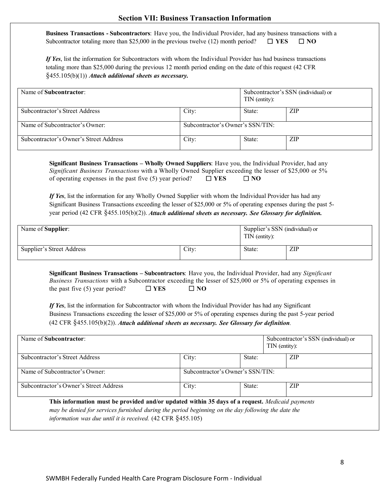| <b>Section VII: Business Transaction Information</b> |  |  |
|------------------------------------------------------|--|--|
|------------------------------------------------------|--|--|

**Business Transactions - Subcontractors**: Have you, the Individual Provider, had any business transactions with a Subcontractor totaling more than \$25,000 in the previous twelve (12) month period?  $\Box$  **YES**  $\Box$  **NO** 

*If Yes*, list the information for Subcontractors with whom the Individual Provider has had business transactions totaling more than \$25,000 during the previous 12 month period ending on the date of this request (42 CFR §455.105(b)(1)) *Attach additional sheets as necessary.*

| Name of Subcontractor:                 |                                  | TIN (entity): | Subcontractor's SSN (individual) or |
|----------------------------------------|----------------------------------|---------------|-------------------------------------|
| Subcontractor's Street Address         | City:                            | State:        | ZIP                                 |
| Name of Subcontractor's Owner:         | Subcontractor's Owner's SSN/TIN: |               |                                     |
| Subcontractor's Owner's Street Address | City:                            | State:        | ZIP                                 |

**Significant Business Transactions – Wholly Owned Suppliers**: Have you, the Individual Provider, had any *Significant Business Transactions* with a Wholly Owned Supplier exceeding the lesser of \$25,000 or 5% of operating expenses in the past five (5) year period?☐ **YES** ☐ **NO**

*If Yes*, list the information for any Wholly Owned Supplier with whom the Individual Provider has had any Significant Business Transactions exceeding the lesser of \$25,000 or 5% of operating expenses during the past 5 year period (42 CFR §455.105(b)(2)). *Attach additional sheets as necessary. See Glossary for definition.*

| Name of <b>Supplier</b> : |       | Supplier's SSN (individual) or<br>TIN (entity): |     |
|---------------------------|-------|-------------------------------------------------|-----|
| Supplier's Street Address | City: | State:                                          | ZIP |

**Significant Business Transactions – Subcontractors**: Have you, the Individual Provider, had any *Significant Business Transactions* with a Subcontractor exceeding the lesser of \$25,000 or 5% of operating expenses in the past five (5) year period?  $\Box$  **YES**  $\Box$  **NO** 

*If Yes*, list the information for Subcontractor with whom the Individual Provider has had any Significant Business Transactions exceeding the lesser of \$25,000 or 5% of operating expenses during the past 5-year period (42 CFR §455.105(b)(2)). *Attach additional sheets as necessary. See Glossary for definition.*

| Name of Subcontractor:                                                                                                                                                                                                                                                          |                                  |        | Subcontractor's SSN (individual) or<br>$TIN$ (entity): |
|---------------------------------------------------------------------------------------------------------------------------------------------------------------------------------------------------------------------------------------------------------------------------------|----------------------------------|--------|--------------------------------------------------------|
| Subcontractor's Street Address                                                                                                                                                                                                                                                  | City:                            | State: | <b>ZIP</b>                                             |
| Name of Subcontractor's Owner:                                                                                                                                                                                                                                                  | Subcontractor's Owner's SSN/TIN: |        |                                                        |
| Subcontractor's Owner's Street Address                                                                                                                                                                                                                                          | City:                            | State: | ZIP                                                    |
| This information must be provided and/or updated within 35 days of a request. Medicaid payments<br>may be denied for services furnished during the period beginning on the day following the date the<br>information was due until it is received. $(42 \text{ CFR } §455.105)$ |                                  |        |                                                        |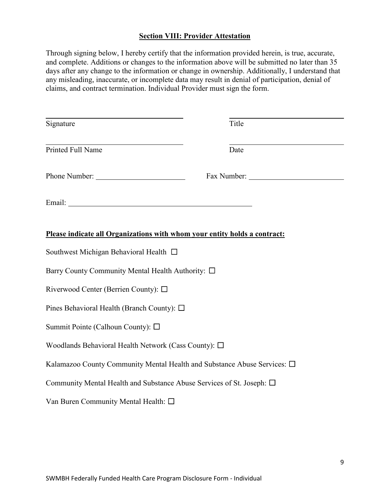### **Section VIII: Provider Attestation**

Through signing below, I hereby certify that the information provided herein, is true, accurate, and complete. Additions or changes to the information above will be submitted no later than 35 days after any change to the information or change in ownership. Additionally, I understand that any misleading, inaccurate, or incomplete data may result in denial of participation, denial of claims, and contract termination. Individual Provider must sign the form.

| <u> 1989 - Johann Barbara, martxa alemaniar amerikan a</u>                 |       |  |  |  |  |
|----------------------------------------------------------------------------|-------|--|--|--|--|
| Signature                                                                  | Title |  |  |  |  |
| Printed Full Name                                                          | Date  |  |  |  |  |
|                                                                            |       |  |  |  |  |
|                                                                            |       |  |  |  |  |
| Please indicate all Organizations with whom your entity holds a contract:  |       |  |  |  |  |
| Southwest Michigan Behavioral Health □                                     |       |  |  |  |  |
| Barry County Community Mental Health Authority: □                          |       |  |  |  |  |
| Riverwood Center (Berrien County): $\square$                               |       |  |  |  |  |
| Pines Behavioral Health (Branch County): $\square$                         |       |  |  |  |  |
| Summit Pointe (Calhoun County): $\square$                                  |       |  |  |  |  |
| Woodlands Behavioral Health Network (Cass County): $\square$               |       |  |  |  |  |
| Kalamazoo County Community Mental Health and Substance Abuse Services: □   |       |  |  |  |  |
| Community Mental Health and Substance Abuse Services of St. Joseph: $\Box$ |       |  |  |  |  |
| Van Buren Community Mental Health: □                                       |       |  |  |  |  |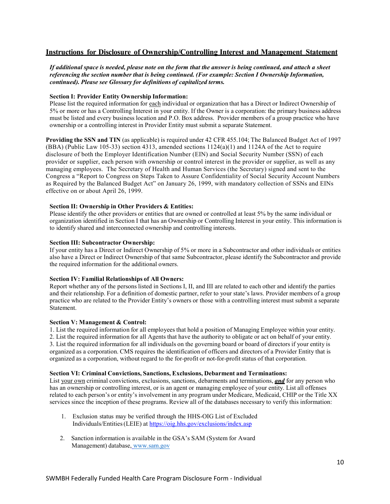### **Instructions for Disclosure of Ownership/Controlling Interest and Management Statement**

*If additional space is needed, please note on the form that the answer is being continued, and attach a sheet referencing the section number that is being continued. (For example: Section I Ownership Information, continued). Please see Glossary for definitions of capitalized terms.*

#### **Section I: Provider Entity Ownership Information:**

Please list the required information for each individual or organization that has a Direct or Indirect Ownership of 5% or more or has a Controlling Interest in your entity. If the Owner is a corporation: the primary business address must be listed and every business location and P.O. Box address. Provider members of a group practice who have ownership or a controlling interest in Provider Entity must submit a separate Statement.

**Providing the SSN and TIN** (as applicable) is required under 42 CFR 455.104; The Balanced Budget Act of 1997 (BBA) (Public Law 105-33) section 4313, amended sections 1124(a)(1) and 1124A of the Act to require disclosure of both the Employer Identification Number (EIN) and Social Security Number (SSN) of each provider or supplier, each person with ownership or control interest in the provider or supplier, as well as any managing employees. The Secretary of Health and Human Services (the Secretary) signed and sent to the Congress a "Report to Congress on Steps Taken to Assure Confidentiality of Social Security Account Numbers as Required by the Balanced Budget Act" on January 26, 1999, with mandatory collection of SSNs and EINs effective on or about April 26, 1999.

#### **Section II: Ownership in Other Providers & Entities:**

Please identify the other providers or entities that are owned or controlled at least 5% by the same individual or organization identified in Section I that has an Ownership or Controlling Interest in your entity. This information is to identify shared and interconnected ownership and controlling interests.

#### **Section III: Subcontractor Ownership:**

If your entity has a Direct or Indirect Ownership of 5% or more in a Subcontractor and other individuals or entities also have a Direct or Indirect Ownership of that same Subcontractor, please identify the Subcontractor and provide the required information for the additional owners.

#### **Section IV: Familial Relationships of All Owners:**

Report whether any of the persons listed in Sections I, II, and III are related to each other and identify the parties and their relationship. For a definition of domestic partner, refer to your state's laws. Provider members of a group practice who are related to the Provider Entity's owners or those with a controlling interest must submit a separate Statement.

#### **Section V: Management & Control:**

1. List the required information for all employees that hold a position of Managing Employee within your entity. 2. List the required information for all Agents that have the authority to obligate or act on behalf of your entity. 3. List the required information for all individuals on the governing board or board of directors if your entity is organized as a corporation. CMS requires the identification of officers and directors of a Provider Entity that is organized as a corporation, without regard to the for-profit or not-for-profit status of that corporation.

#### **Section VI: Criminal Convictions, Sanctions, Exclusions, Debarment and Terminations:**

List your own criminal convictions, exclusions, sanctions, debarments and terminations, **and** for any person who has an ownership or controlling interest, or is an agent or managing employee of your entity. List all offenses related to each person's or entity's involvement in any program under Medicare, Medicaid, CHIP or the Title XX services since the inception of these programs. Review all of the databases necessary to verify this information:

- 1. Exclusion status may be verified through the HHS-OIG List of Excluded Individuals/Entities (LEIE) a[t https://oig.hhs.gov/exclusions/index.asp](https://oig.hhs.gov/exclusions/index.asp)
- 2. Sanction information is available in the GSA's SAM (System for Award Management) database, [www.sam.gov](http://www.sam.gov/)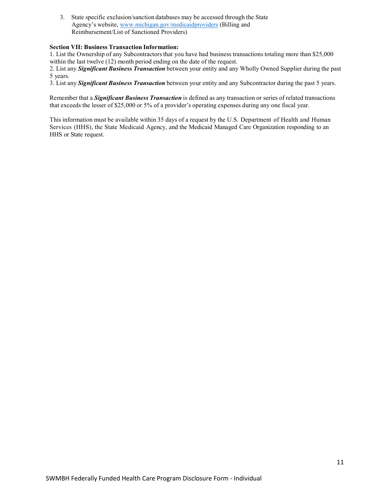3. State specific exclusion/sanction databases may be accessed through the State Agency's website, [www.michigan.gov/medicaidproviders](http://www.michigan.gov/medicaidproviders) (Billing and Reimbursement/List of Sanctioned Providers)

#### **Section VII: Business Transaction Information:**

1. List the Ownership of any Subcontractors that you have had business transactions totaling more than \$25,000 within the last twelve (12) month period ending on the date of the request.

2. List any *Significant Business Transaction* between your entity and any Wholly Owned Supplier during the past 5 years.

3. List any *Significant Business Transaction* between your entity and any Subcontractor during the past 5 years.

Remember that a *Significant Business Transaction* is defined as any transaction or series of related transactions that exceeds the lesser of \$25,000 or 5% of a provider's operating expenses during any one fiscal year.

This information must be available within 35 days of a request by the U.S. Department of Health and Human Services (HHS), the State Medicaid Agency, and the Medicaid Managed Care Organization responding to an HHS or State request.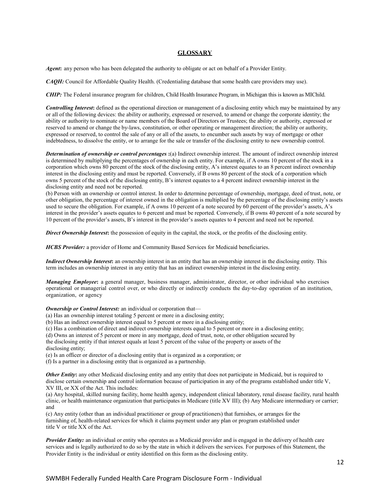#### **GLOSSARY**

*Agent***:** any person who has been delegated the authority to obligate or act on behalf of a Provider Entity.

*CAQH:* Council for Affordable Quality Health. (Credentialing database that some health care providers may use).

*CHIP:* The Federal insurance program for children, Child Health Insurance Program, in Michigan this is known as MIChild.

*Controlling Interest***:** defined as the operational direction or management of a disclosing entity which may be maintained by any or all of the following devices: the ability or authority, expressed or reserved, to amend or change the corporate identity; the ability or authority to nominate or name members of the Board of Directors or Trustees; the ability or authority, expressed or reserved to amend or change the by-laws, constitution, or other operating or management direction; the ability or authority, expressed or reserved, to control the sale of any or all of the assets, to encumber such assets by way of mortgage or other indebtedness, to dissolve the entity, or to arrange for the sale or transfer of the disclosing entity to new ownership control.

*Determination of ownership or control percentages* **:**(a) Indirect ownership interest. The amount of indirect ownership interest is determined by multiplying the percentages of ownership in each entity. For example, if A owns 10 percent of the stock in a corporation which owns 80 percent of the stock of the disclosing entity, A's interest equates to an 8 percent indirect ownership interest in the disclosing entity and must be reported. Conversely, if B owns 80 percent of the stock of a corporation which owns 5 percent of the stock of the disclosing entity, B's interest equates to a 4 percent indirect ownership interest in the disclosing entity and need not be reported.

(b) Person with an ownership or control interest. In order to determine percentage of ownership, mortgage, deed of trust, note, or other obligation, the percentage of interest owned in the obligation is multiplied by the percentage of the disclosing entity's assets used to secure the obligation. For example, if A owns 10 percent of a note secured by 60 percent of the provider's assets, A's interest in the provider's assets equates to 6 percent and must be reported. Conversely, if B owns 40 percent of a note secured by 10 percent of the provider's assets, B's interest in the provider's assets equates to 4 percent and need not be reported.

**Direct Ownership Interest:** the possession of equity in the capital, the stock, or the profits of the disclosing entity.

*HCBS Provider:* a provider of Home and Community Based Services for Medicaid beneficiaries.

*Indirect Ownership Interest***:** an ownership interest in an entity that has an ownership interest in the disclosing entity. This term includes an ownership interest in any entity that has an indirect ownership interest in the disclosing entity.

*Managing Employee*: a general manager, business manager, administrator, director, or other individual who exercises operational or managerial control over, or who directly or indirectly conducts the day-to-day operation of an institution, organization, or agency

*Ownership or Control Interest:* an individual or corporation that—

(a) Has an ownership interest totaling 5 percent or more in a disclosing entity;

(b) Has an indirect ownership interest equal to 5 percent or more in a disclosing entity;

(c) Has a combination of direct and indirect ownership interests equal to 5 percent or more in a disclosing entity;

- (d) Owns an interest of 5 percent or more in any mortgage, deed of trust, note, or other obligation secured by
- the disclosing entity if that interest equals at least 5 percent of the value of the property or assets of the disclosing entity;

(e) Is an officer or director of a disclosing entity that is organized as a corporation; or

(f) Is a partner in a disclosing entity that is organized as a partnership.

*Other Entity*: any other Medicaid disclosing entity and any entity that does not participate in Medicaid, but is required to disclose certain ownership and control information because of participation in any of the programs established under title V, XV III, or XX of the Act. This includes:

(a) Any hospital, skilled nursing facility, home health agency, independent clinical laboratory, renal disease facility, rural health clinic, or health maintenance organization that participates in Medicare (title XV III); (b) Any Medicare intermediary or carrier; and

(c) Any entity (other than an individual practitioner or group of practitioners) that furnishes, or arranges for the furnishing of, health-related services for which it claims payment under any plan or program established under title V or title XX of the Act.

*Provider Entity:* an individual or entity who operates as a Medicaid provider and is engaged in the delivery of health care services and is legally authorized to do so by the state in which it delivers the services. For purposes of this Statement, the Provider Entity is the individual or entity identified on this form as the disclosing entity.